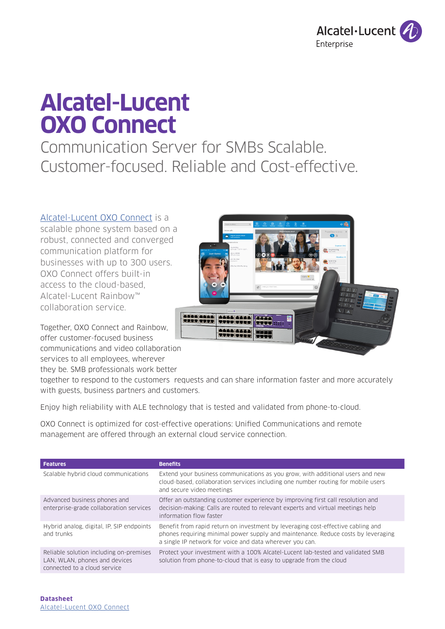

# **Alcatel-Lucent OXO Connect**

Communication Server for SMBs Scalable. Customer-focused. Reliable and Cost-effective.

### [Alcatel-Lucent OXO Connect](https://www.al-enterprise.com/en/products/platforms/oxo-connect?utm_source=digital-asset&utm_medium=pdf&utm_campaign=doc-link) is a

scalable phone system based on a robust, connected and converged communication platform for businesses with up to 300 users. OXO Connect offers built-in access to the cloud-based, Alcatel-Lucent Rainbow™ collaboration service.

Together, OXO Connect and Rainbow, offer customer-focused business communications and video collaboration services to all employees, wherever

they be. SMB professionals work better

together to respond to the customers requests and can share information faster and more accurately with guests, business partners and customers.

Enjoy high reliability with ALE technology that is tested and validated from phone-to-cloud.

OXO Connect is optimized for cost-effective operations: Unified Communications and remote management are offered through an external cloud service connection.

| <b>Features</b>                                                                                          | <b>Benefits</b>                                                                                                                                                                                                                   |
|----------------------------------------------------------------------------------------------------------|-----------------------------------------------------------------------------------------------------------------------------------------------------------------------------------------------------------------------------------|
| Scalable hybrid cloud communications                                                                     | Extend your business communications as you grow, with additional users and new<br>cloud-based, collaboration services including one number routing for mobile users<br>and secure video meetings                                  |
| Advanced business phones and<br>enterprise-grade collaboration services                                  | Offer an outstanding customer experience by improving first call resolution and<br>decision-making: Calls are routed to relevant experts and virtual meetings help<br>information flow faster                                     |
| Hybrid analog, digital, IP, SIP endpoints<br>and trunks                                                  | Benefit from rapid return on investment by leveraging cost-effective cabling and<br>phones requiring minimal power supply and maintenance. Reduce costs by leveraging<br>a single IP network for voice and data wherever you can. |
| Reliable solution including on-premises<br>LAN, WLAN, phones and devices<br>connected to a cloud service | Protect your investment with a 100% Alcatel-Lucent lab-tested and validated SMB<br>solution from phone-to-cloud that is easy to upgrade from the cloud                                                                            |

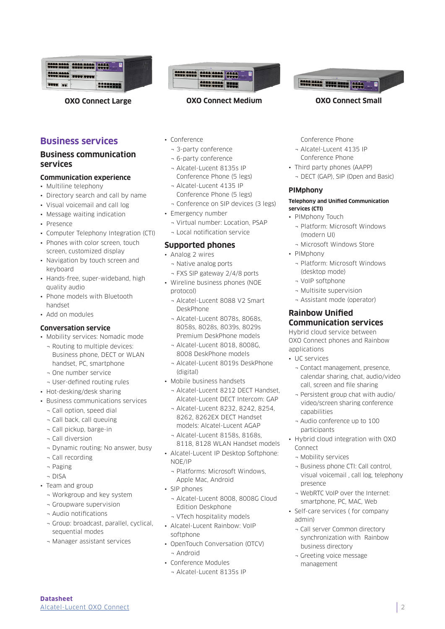| 1111 1112 1113 1114 1114                  |  |
|-------------------------------------------|--|
| <b>AAAA AAAA (1999) 1999</b>              |  |
| <b>BELLET</b><br>$\overline{\phantom{a}}$ |  |



### **Business communication services**

### **Communication experience**

- Multiline telephony
- Directory search and call by name
- Visual voicemail and call log
- Message waiting indication
- Presence
- Computer Telephony Integration (CTI)
- Phones with color screen, touch screen, customized display
- Navigation by touch screen and keyboard
- Hands-free, super-wideband, high quality audio
- Phone models with Bluetooth handset
- Add on modules

### **Conversation service**

- Mobility services: Nomadic mode
- ¬ Routing to multiple devices: Business phone, DECT or WLAN handset, PC, smartphone
- ¬ One number service
- ¬ User-defined routing rules
- Hot-desking/desk sharing
- Business communications services
	- ¬ Call option, speed dial
	- ¬ Call back, call queuing
	- ¬ Call pickup, barge-in
	- ¬ Call diversion
	- ¬ Dynamic routing: No answer, busy
	- ¬ Call recording
	- ¬ Paging
	- ¬ DISA
- Team and group
	- ¬ Workgroup and key system
	- ¬ Groupware supervision
	- ¬ Audio notifications
	- ¬ Group: broadcast, parallel, cyclical, sequential modes
	- ¬ Manager assistant services



### **OXO Connect Large OXO Connect Medium OXO Connect Small**

- Conference
	- ¬ 3-party conference
	- ¬ 6-party conference
	- ¬ Alcatel-Lucent 8135s IP Conference Phone (5 legs)
	- ¬ Alcatel-Lucent 4135 IP Conference Phone (5 legs)
	- ¬ Conference on SIP devices (3 legs)
- Emergency number
	- ¬ Virtual number: Location, PSAP
- ¬ Local notification service

### **Supported phones**

- Analog 2 wires
	- ¬ Native analog ports
	- ¬ FXS SIP gateway 2/4/8 ports
- Wireline business phones (NOE protocol)
	- ¬ Alcatel-Lucent 8088 V2 Smart DeskPhone
	- ¬ Alcatel-Lucent 8078s, 8068s, 8058s, 8028s, 8039s, 8029s Premium DeskPhone models
	- ¬ Alcatel-Lucent 8018, 8008G, 8008 DeskPhone models
	- ¬ Alcatel-Lucent 8019s DeskPhone (digital)
- Mobile business handsets
	- ¬ Alcatel-Lucent 8212 DECT Handset, Alcatel-Lucent DECT Intercom: GAP
	- ¬ Alcatel-Lucent 8232, 8242, 8254, 8262, 8262EX DECT Handset models: Alcatel-Lucent AGAP
	- ¬ Alcatel-Lucent 8158s, 8168s, 8118, 8128 WLAN Handset models
- Alcatel-Lucent IP Desktop Softphone: NOE/IP
	- ¬ Platforms: Microsoft Windows, Apple Mac, Android
- SIP phones
	- ¬ Alcatel-Lucent 8008, 8008G Cloud Edition Deskphone
	- ¬ VTech hospitality models
- Alcatel-Lucent Rainbow: VoIP softphone
- OpenTouch Conversation (OTCV) ¬ Android
- Conference Modules
- ¬ Alcatel-Lucent 8135s IP

Conference Phone

- ¬ Alcatel-Lucent 4135 IP Conference Phone
- Third party phones (AAPP)
	- ¬ DECT (GAP), SIP (Open and Basic)

### **PIMphony**

#### **Telephony and Unified Communication services (CTI)**

- PIMphony Touch
	- ¬ Platform: Microsoft Windows (modern UI)
	- ¬ Microsoft Windows Store
- PIMphony
	- ¬ Platform: Microsoft Windows (desktop mode)
	- ¬ VoIP softphone
	- ¬ Multisite supervision
	- ¬ Assistant mode (operator)

### **Rainbow Unified Communication services**

Hybrid cloud service between OXO Connect phones and Rainbow applications

- UC services
	- ¬ Contact management, presence, calendar sharing, chat, audio/video call, screen and file sharing
	- ¬ Persistent group chat with audio/ video/screen sharing conference capabilities
	- ¬ Audio conference up to 100 participants
- Hybrid cloud integration with OXO Connect
	- ¬ Mobility services
	- ¬ Business phone CTI: Call control, visual voicemail , call log, telephony presence
	- ¬ WebRTC VoIP over the Internet: smartphone, PC, MAC, Web
- Self-care services ( for company admin)
	- ¬ Call server Common directory synchronization with Rainbow business directory

2

¬ Greeting voice message management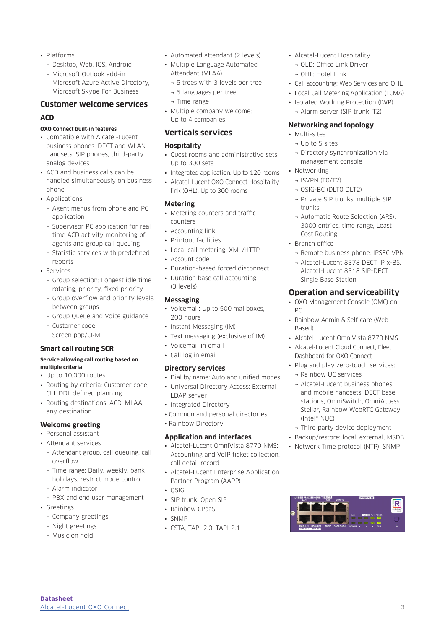- Platforms
	- ¬ Desktop, Web, IOS, Android
	- ¬ Microsoft Outlook add-in, Microsoft Azure Active Directory, Microsoft Skype For Business

## **Customer welcome services**

### **ACD**

### **OXO Connect built-in features**

- Compatible with Alcatel-Lucent business phones, DECT and WLAN handsets, SIP phones, third-party analog devices
- ACD and business calls can be handled simultaneously on business phone
- Applications
	- ¬ Agent menus from phone and PC application
	- ¬ Supervisor PC application for real time ACD activity monitoring of agents and group call queuing
	- ¬ Statistic services with predefined reports
- Services
	- ¬ Group selection: Longest idle time, rotating, priority, fixed priority
	- ¬ Group overflow and priority levels between groups
	- ¬ Group Queue and Voice guidance
	- ¬ Customer code
	- ¬ Screen pop/CRM

### **Smart call routing SCR**

#### **Service allowing call routing based on multiple criteria**

- Up to 10,000 routes
- Routing by criteria: Customer code, CLI, DDI, defined planning
- Routing destinations: ACD, MLAA, any destination

### **Welcome greeting**

- Personal assistant
- Attendant services
	- ¬ Attendant group, call queuing, call overflow
	- ¬ Time range: Daily, weekly, bank holidays, restrict mode control
	- ¬ Alarm indicator
- ¬ PBX and end user management
- Greetings

**Datasheet** 

¬ Company greetings

[Alcatel-Lucent OXO Connect](https://www.al-enterprise.com/en/products/platforms/oxo-connect?utm_source=digital-asset&utm_medium=pdf&utm_campaign=doc-link)

- ¬ Night greetings
- ¬ Music on hold
- Automated attendant (2 levels)
- Multiple Language Automated Attendant (MLAA)
	- ¬ 5 trees with 3 levels per tree
	- ¬ 5 languages per tree
	- ¬ Time range
- Multiple company welcome: Up to 4 companies

### **Verticals services**

#### **Hospitality**

- Guest rooms and administrative sets: Up to 300 sets
- Integrated application: Up to 120 rooms
- Alcatel-Lucent OXO Connect Hospitality link (OHL): Up to 300 rooms

### **Metering**

- Metering counters and traffic counters
- Accounting link
- Printout facilities
- Local call metering: XML/HTTP
- Account code
- Duration-based forced disconnect
- Duration base call accounting (3 levels)

### **Messaging**

- Voicemail: Up to 500 mailboxes, 200 hours
- Instant Messaging (IM)
- Text messaging (exclusive of IM)
- Voicemail in email
- Call log in email

### **Directory services**

- Dial by name: Auto and unified modes
- Universal Directory Access: External
- LDAP server
- Integrated Directory
- Common and personal directories
- Rainbow Directory

### **Application and interfaces**

- Alcatel-Lucent OmniVista 8770 NMS: Accounting and VoIP ticket collection, call detail record
- Alcatel-Lucent Enterprise Application Partner Program (AAPP)
- QSIG
- SIP trunk, Open SIP
- Rainbow CPaaS
- SNMP
- CSTA, TAPI 2.0, TAPI 2.1
- Alcatel-Lucent Hospitality
	- ¬ OLD: Office Link Driver
	- ¬ OHL: Hotel Link
- Call accounting: Web Services and OHL
- Local Call Metering Application (LCMA)
- Isolated Working Protection (IWP) ¬ Alarm server (SIP trunk, T2)

#### **Networking and topology**

- Multi-sites
	- ¬ Up to 5 sites
	- ¬ Directory synchronization via management console
- Networking
	- ¬ ISVPN (T0/T2)
	- ¬ QSIG-BC (DLT0 DLT2)
	- ¬ Private SIP trunks, multiple SIP trunks
	- ¬ Automatic Route Selection (ARS): 3000 entries, time range, Least Cost Routing
- Branch office
	- ¬ Remote business phone: IPSEC VPN
	- ¬ Alcatel-Lucent 8378 DECT IP x-BS, Alcatel-Lucent 8318 SIP-DECT Single Base Station

### **Operation and serviceability**

- OXO Management Console (OMC) on PC
- Rainbow Admin & Self-care (Web Based)
- Alcatel-Lucent OmniVista 8770 NMS
- Alcatel-Lucent Cloud Connect, Fleet Dashboard for OXO Connect
- Plug and play zero-touch services: ¬ Rainbow UC services
	- ¬ Alcatel-Lucent business phones and mobile handsets, DECT base stations, OmniSwitch, OmniAccess Stellar, Rainbow WebRTC Gateway (Intel® NUC)

3

 $\overline{\mathsf{R}}$ 

¬ Third party device deployment • Backup/restore: local, external, MSDB

• Network Time protocol (NTP), SNMP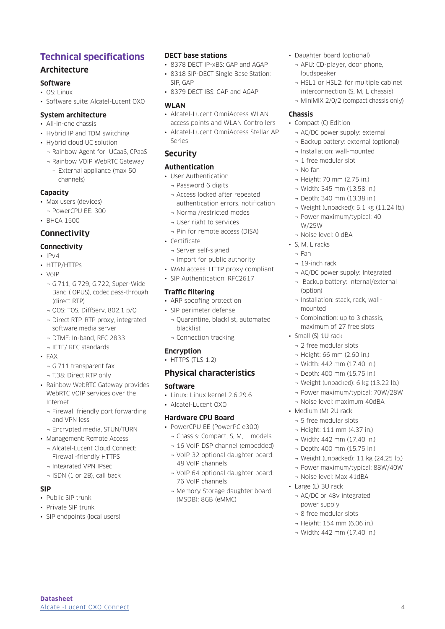### **Technical specifications**

### **Architecture**

### **Software**

- OS: Linux
- Software suite: Alcatel-Lucent OXO

#### **System architecture**

- All-in-one chassis
- Hybrid IP and TDM switching
- Hybrid cloud UC solution
	- ¬ Rainbow Agent for UCaaS, CPaaS
	- ¬ Rainbow VOIP WebRTC Gateway
	- External appliance (max 50 channels)

### **Capacity**

- Max users (devices)
- ¬ PowerCPU EE: 300
- BHCA 1500

### **Connectivity**

### **Connectivity**

- $\cdot$  IP $\vee$ 4
- HTTP/HTTPs
- VoIP
	- ¬ G.711, G.729, G.722, Super-Wide Band ( OPUS), codec pass-through (direct RTP)
	- ¬ QOS: TOS, DiffServ, 802.1 p/Q
	- ¬ Direct RTP, RTP proxy, integrated software media server
	- ¬ DTMF: In-band, RFC 2833
	- ¬ IETF/ RFC standards
- FAX
	- ¬ G.711 transparent fax
	- ¬ T.38: Direct RTP only
- Rainbow WebRTC Gateway provides WebRTC VOIP services over the Internet
	- ¬ Firewall friendly port forwarding and VPN less
	- ¬ Encrypted media, STUN/TURN
- Management: Remote Access
	- ¬ Alcatel-Lucent Cloud Connect: Firewall-friendly HTTPS
	- ¬ Integrated VPN IPsec
	- ¬ ISDN (1 or 2B), call back

### **SIP**

• Public SIP trunk

**Datasheet** 

- Private SIP trunk
- SIP endpoints (local users)

[Alcatel-Lucent OXO Connect](https://www.al-enterprise.com/en/products/platforms/oxo-connect?utm_source=digital-asset&utm_medium=pdf&utm_campaign=doc-link)

### **DECT base stations**

- 8378 DECT IP-xBS: GAP and AGAP
- 8318 SIP-DECT Single Base Station: SIP, GAP
- 8379 DECT IBS: GAP and AGAP

### **WLAN**

- Alcatel-Lucent OmniAccess WLAN access points and WLAN Controllers
- Alcatel-Lucent OmniAccess Stellar AP Series

### **Security**

### **Authentication**

- User Authentication
- ¬ Password 6 digits
- ¬ Access locked after repeated authentication errors, notification
- ¬ Normal/restricted modes
- ¬ User right to services
- ¬ Pin for remote access (DISA)
- Certificate
	- ¬ Server self-signed
- ¬ Import for public authority
- WAN access: HTTP proxy compliant
- SIP Authentication: RFC2617

### **Traffic filtering**

- ARP spoofing protection
- SIP perimeter defense
	- ¬ Quarantine, blacklist, automated blacklist
	- ¬ Connection tracking

### **Encryption**

• HTTPS (TLS 1.2)

### **Physical characteristics**

### **Software**

- Linux: Linux kernel 2.6.29.6
- Alcatel-Lucent OXO

### **Hardware CPU Board**

- PowerCPU EE (PowerPC e300)
	- ¬ Chassis: Compact, S, M, L models
	- ¬ 16 VoIP DSP channel (embedded)
	- ¬ VoIP 32 optional daughter board: 48 VoIP channels
	- ¬ VoIP 64 optional daughter board: 76 VoIP channels
	- ¬ Memory Storage daughter board (MSDB): 8GB (eMMC)
- Daughter board (optional)
	- ¬ AFU: CD-player, door phone, loudspeaker
	- ¬ HSL1 or HSL2: for multiple cabinet interconnection (S, M, L chassis)
	- ¬ MiniMIX 2/0/2 (compact chassis only)

### **Chassis**

- Compact (C) Edition
	- ¬ AC/DC power supply: external
	- ¬ Backup battery: external (optional)
	- ¬ Installation: wall-mounted
	- ¬ 1 free modular slot
	- ¬ No fan
	- ¬ Height: 70 mm (2.75 in.)
	- ¬ Width: 345 mm (13.58 in.)
	- ¬ Depth: 340 mm (13.38 in.)
	- ¬ Weight (unpacked): 5.1 kg (11.24 lb.)
	- ¬ Power maximum/typical: 40 W/25W
	- ¬ Noise level: 0 dBA
- S, M, L racks
	- ¬ Fan
	- ¬ 19-inch rack

mounted

• Small (S) 1U rack

¬ 2 free modular slots ¬ Height: 66 mm (2.60 in.) ¬ Width: 442 mm (17.40 in.) ¬ Depth: 400 mm (15.75 in.)

• Medium (M) 2U rack ¬ 5 free modular slots ¬ Height: 111 mm (4.37 in.) ¬ Width: 442 mm (17.40 in.) ¬ Depth: 400 mm (15.75 in.)

- ¬ AC/DC power supply: Integrated
- ¬ Backup battery: Internal/external (option)

¬ Weight (unpacked): 6 kg (13.22 lb.) ¬ Power maximum/typical: 70W/28W ¬ Noise level: maximum 40dBA

¬ Weight (unpacked): 11 kg (24.25 lb.) ¬ Power maximum/typical: 88W/40W

¬ Noise level: Max 41dBA

¬ AC/DC or 48v integrated

• Large (L) 3U rack

power supply ¬ 8 free modular slots ¬ Height: 154 mm (6.06 in.) ¬ Width: 442 mm (17.40 in.)

¬ Installation: stack, rack, wall-

¬ Combination: up to 3 chassis, maximum of 27 free slots

4